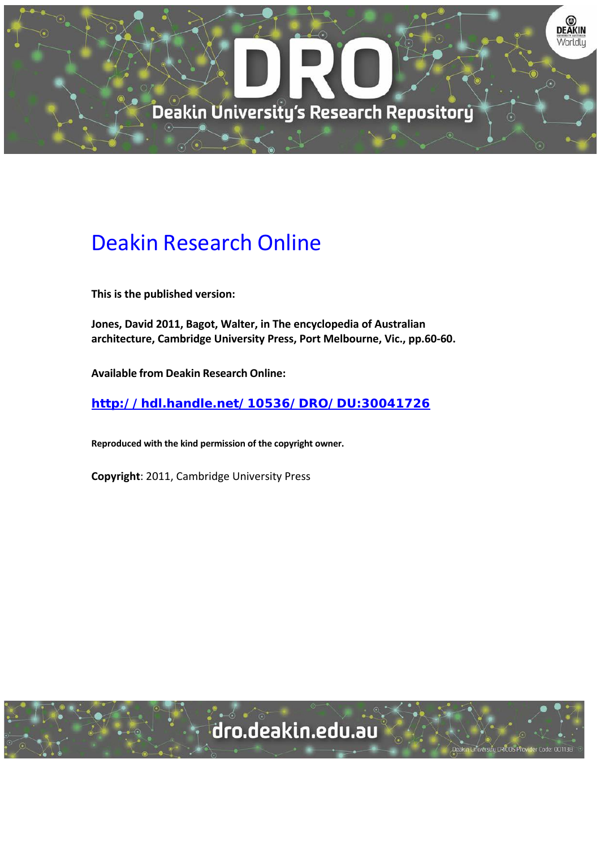

## Deakin Research Online

**This is the published version:**

**Jones, David 2011, Bagot, Walter, in The encyclopedia of Australian architecture, Cambridge University Press, Port Melbourne, Vic., pp.60-60.**

**Available from Deakin Research Online:**

**<http://hdl.handle.net/10536/DRO/DU:30041726>**

**Reproduced with the kind permission of the copyright owner.**

**Copyright**: 2011, Cambridge University Press